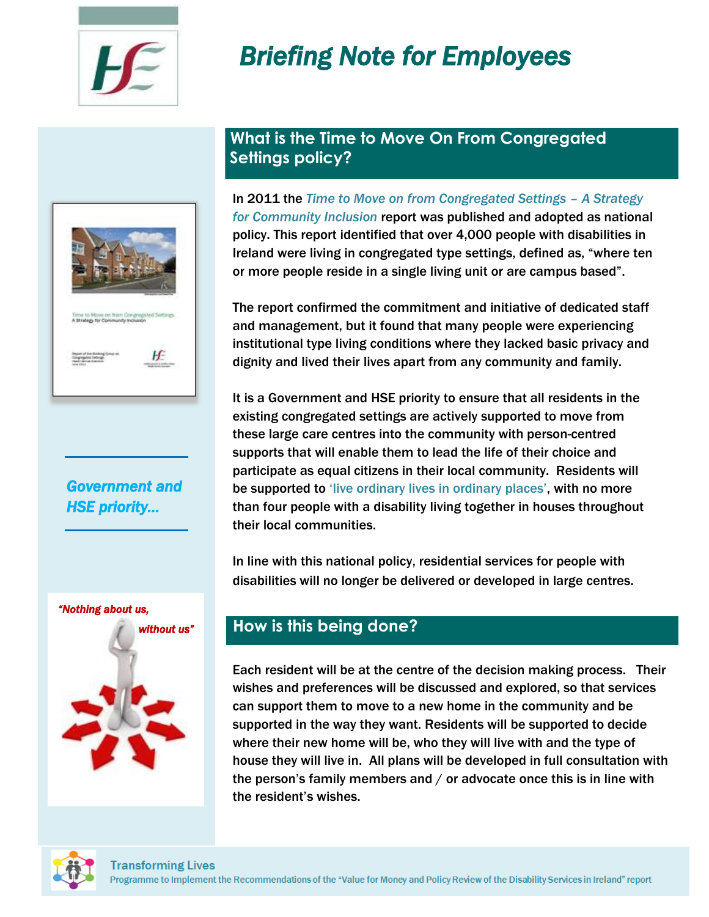# *Briefing Note for Employees*



## *Government and HSE priority…*



## **What is the Time to Move On From Congregated Settings policy?**

In 2011 the *Time to Move on from Congregated Settings – A Strategy for Community Inclusion* report was published and adopted as national policy. This report identified that over 4,000 people with disabilities in Ireland were living in congregated type settings, defined as, "where ten or more people reside in a single living unit or are campus based".

The report confirmed the commitment and initiative of dedicated staff and management, but it found that many people were experiencing institutional type living conditions where they lacked basic privacy and dignity and lived their lives apart from any community and family.

It is a Government and HSE priority to ensure that all residents in the existing congregated settings are actively supported to move from these large care centres into the community with person-centred supports that will enable them to lead the life of their choice and participate as equal citizens in their local community. Residents will be supported to 'live ordinary lives in ordinary places', with no more than four people with a disability living together in houses throughout their local communities.

In line with this national policy, residential services for people with disabilities will no longer be delivered or developed in large centres.

## **How is this being done?**

Each resident will be at the centre of the decision making process. Their wishes and preferences will be discussed and explored, so that services can support them to move to a new home in the community and be supported in the way they want. Residents will be supported to decide where their new home will be, who they will live with and the type of house they will live in. All plans will be developed in full consultation with the person's family members and / or advocate once this is in line with the resident's wishes.

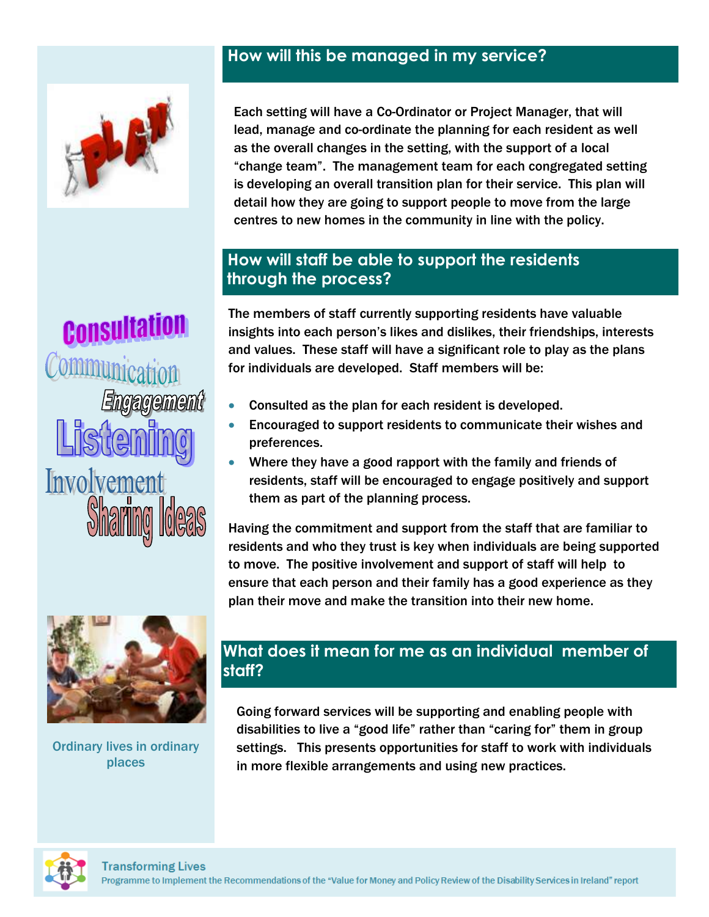## **How will this be managed in my service?**



Each setting will have a Co-Ordinator or Project Manager, that will lead, manage and co-ordinate the planning for each resident as well as the overall changes in the setting, with the support of a local "change team". The management team for each congregated setting is developing an overall transition plan for their service. This plan will detail how they are going to support people to move from the large centres to new homes in the community in line with the policy.

## **How will staff be able to support the residents through the process?**

The members of staff currently supporting residents have valuable insights into each person's likes and dislikes, their friendships, interests and values. These staff will have a significant role to play as the plans for individuals are developed. Staff members will be:

- Consulted as the plan for each resident is developed.
- Encouraged to support residents to communicate their wishes and preferences.
- Where they have a good rapport with the family and friends of residents, staff will be encouraged to engage positively and support them as part of the planning process.

Having the commitment and support from the staff that are familiar to residents and who they trust is key when individuals are being supported to move. The positive involvement and support of staff will help to ensure that each person and their family has a good experience as they plan their move and make the transition into their new home.

# **What does it mean for me as an individual member of staff?**

Going forward services will be supporting and enabling people with disabilities to live a "good life" rather than "caring for" them in group settings. This presents opportunities for staff to work with individuals in more flexible arrangements and using new practices.

Consultation langagement Involvement



Ordinary lives in ordinary places

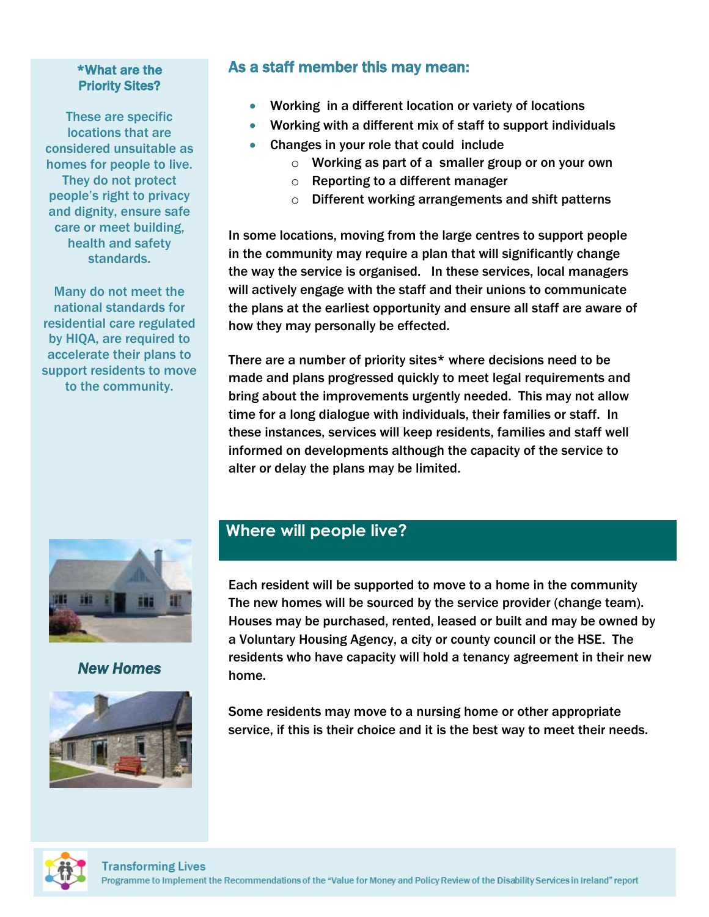#### \*What are the Priority Sites?

These are specific locations that are considered unsuitable as homes for people to live. They do not protect people's right to privacy and dignity, ensure safe care or meet building, health and safety standards.

Many do not meet the national standards for residential care regulated by HIQA, are required to accelerate their plans to support residents to move to the community.

## As a staff member this may mean:

- Working in a different location or variety of locations
- Working with a different mix of staff to support individuals
- Changes in your role that could include
	- o Working as part of a smaller group or on your own
	- o Reporting to a different manager
	- o Different working arrangements and shift patterns

In some locations, moving from the large centres to support people in the community may require a plan that will significantly change the way the service is organised. In these services, local managers will actively engage with the staff and their unions to communicate the plans at the earliest opportunity and ensure all staff are aware of how they may personally be effected.

There are a number of priority sites\* where decisions need to be made and plans progressed quickly to meet legal requirements and bring about the improvements urgently needed. This may not allow time for a long dialogue with individuals, their families or staff. In these instances, services will keep residents, families and staff well informed on developments although the capacity of the service to alter or delay the plans may be limited.



## *New Homes*



# **Where will people live?**

Each resident will be supported to move to a home in the community The new homes will be sourced by the service provider (change team). Houses may be purchased, rented, leased or built and may be owned by a Voluntary Housing Agency, a city or county council or the HSE. The residents who have capacity will hold a tenancy agreement in their new home.

Some residents may move to a nursing home or other appropriate service, if this is their choice and it is the best way to meet their needs.